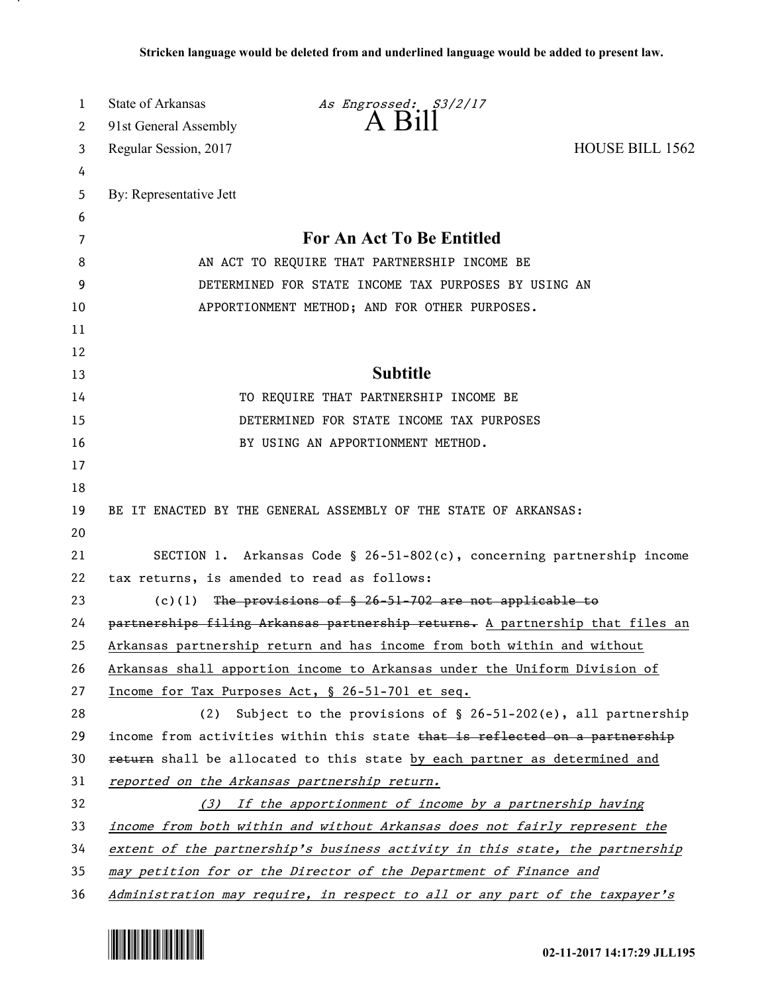| 1        | State of Arkansas                                                             | As Engrossed: \$3/2/17<br>$A$ B <sub>1</sub> $\text{H}$                     |                 |
|----------|-------------------------------------------------------------------------------|-----------------------------------------------------------------------------|-----------------|
| 2        | 91st General Assembly                                                         |                                                                             |                 |
| 3        | Regular Session, 2017                                                         |                                                                             | HOUSE BILL 1562 |
| 4        |                                                                               |                                                                             |                 |
| 5        | By: Representative Jett                                                       |                                                                             |                 |
| 6        |                                                                               |                                                                             |                 |
| 7        | For An Act To Be Entitled                                                     |                                                                             |                 |
| 8        | AN ACT TO REQUIRE THAT PARTNERSHIP INCOME BE                                  |                                                                             |                 |
| 9        | DETERMINED FOR STATE INCOME TAX PURPOSES BY USING AN                          |                                                                             |                 |
| 10       |                                                                               | APPORTIONMENT METHOD; AND FOR OTHER PURPOSES.                               |                 |
| 11       |                                                                               |                                                                             |                 |
| 12<br>13 |                                                                               | <b>Subtitle</b>                                                             |                 |
| 14       |                                                                               | TO REQUIRE THAT PARTNERSHIP INCOME BE                                       |                 |
| 15       | DETERMINED FOR STATE INCOME TAX PURPOSES                                      |                                                                             |                 |
| 16       |                                                                               | BY USING AN APPORTIONMENT METHOD.                                           |                 |
| 17       |                                                                               |                                                                             |                 |
| 18       |                                                                               |                                                                             |                 |
| 19       |                                                                               | BE IT ENACTED BY THE GENERAL ASSEMBLY OF THE STATE OF ARKANSAS:             |                 |
| 20       |                                                                               |                                                                             |                 |
| 21       |                                                                               | SECTION 1. Arkansas Code § 26-51-802(c), concerning partnership income      |                 |
| 22       | tax returns, is amended to read as follows:                                   |                                                                             |                 |
| 23       | $(c)(1)$ The provisions of § 26-51-702 are not applicable to                  |                                                                             |                 |
| 24       | partnerships filing Arkansas partnership returns. A partnership that files an |                                                                             |                 |
| 25       |                                                                               | Arkansas partnership return and has income from both within and without     |                 |
| 26       |                                                                               | Arkansas shall apportion income to Arkansas under the Uniform Division of   |                 |
| 27       |                                                                               | Income for Tax Purposes Act, § 26-51-701 et seq.                            |                 |
| 28       | (2)                                                                           | Subject to the provisions of $\S$ 26-51-202(e), all partnership             |                 |
| 29       |                                                                               | income from activities within this state that is reflected on a partnership |                 |
| 30       | return shall be allocated to this state by each partner as determined and     |                                                                             |                 |
| 31       |                                                                               | reported on the Arkansas partnership return.                                |                 |
| 32       | (3) If the apportionment of income by a partnership having                    |                                                                             |                 |
| 33       |                                                                               | income from both within and without Arkansas does not fairly represent the  |                 |
| 34       | extent of the partnership's business activity in this state, the partnership  |                                                                             |                 |
| 35       | may petition for or the Director of the Department of Finance and             |                                                                             |                 |
| 36       | Administration may require, in respect to all or any part of the taxpayer's   |                                                                             |                 |